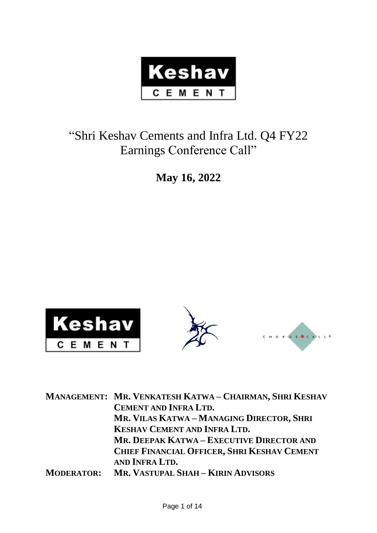

# "Shri Keshav Cements and Infra Ltd. Q4 FY22 Earnings Conference Call"

**May 16, 2022**



|                   | MANAGEMENT: MR. VENKATESH KATWA - CHAIRMAN, SHRI KESHAV |
|-------------------|---------------------------------------------------------|
|                   | <b>CEMENT AND INFRA LTD.</b>                            |
|                   | MR. VILAS KATWA - MANAGING DIRECTOR, SHRI               |
|                   | <b>KESHAV CEMENT AND INFRA LTD.</b>                     |
|                   | MR. DEEPAK KATWA – EXECUTIVE DIRECTOR AND               |
|                   | <b>CHIEF FINANCIAL OFFICER, SHRI KESHAV CEMENT</b>      |
|                   | AND INFRA LTD.                                          |
| <b>MODERATOR:</b> | MR. VASTUPAL SHAH - KIRIN ADVISORS                      |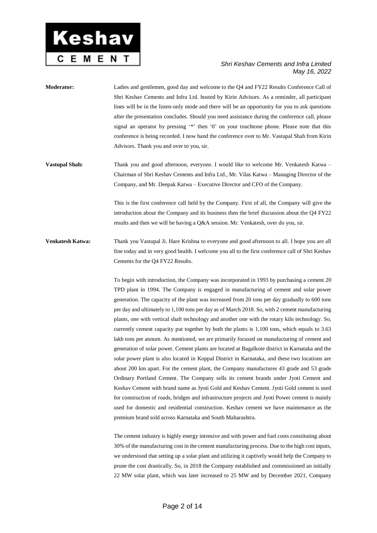

- **Moderator:** Ladies and gentlemen, good day and welcome to the Q4 and FY22 Results Conference Call of Shri Keshav Cements and Infra Ltd. hosted by Kirin Advisors. As a reminder, all participant lines will be in the listen-only mode and there will be an opportunity for you to ask questions after the presentation concludes. Should you need assistance during the conference call, please signal an operator by pressing '\*' then '0' on your touchtone phone. Please note that this conference is being recorded. I now hand the conference over to Mr. Vastupal Shah from Kirin Advisors. Thank you and over to you, sir.
- **Vastupal Shah:** Thank you and good afternoon, everyone. I would like to welcome Mr. Venkatesh Katwa Chairman of Shri Keshav Cements and Infra Ltd., Mr. Vilas Katwa – Managing Director of the Company, and Mr. Deepak Katwa – Executive Director and CFO of the Company.

This is the first conference call held by the Company. First of all, the Company will give the introduction about the Company and its business then the brief discussion about the Q4 FY22 results and then we will be having a Q&A session. Mr. Venkatesh, over do you, sir.

**Venkatesh Katwa:** Thank you Vastupal Ji. Hare Krishna to everyone and good afternoon to all. I hope you are all fine today and in very good health. I welcome you all to the first conference call of Shri Keshav Cements for the Q4 FY22 Results.

> To begin with introduction, the Company was incorporated in 1993 by purchasing a cement 20 TPD plant in 1994. The Company is engaged in manufacturing of cement and solar power generation. The capacity of the plant was increased from 20 tons per day gradually to 600 tons per day and ultimately to 1,100 tons per day as of March 2018. So, with 2 cement manufacturing plants, one with vertical shaft technology and another one with the rotary kiln technology. So, currently cement capacity put together by both the plants is 1,100 tons, which equals to 3.63 lakh tons per annum. As mentioned, we are primarily focused on manufacturing of cement and generation of solar power. Cement plants are located at Bagalkote district in Karnataka and the solar power plant is also located in Koppal District in Karnataka, and these two locations are about 200 km apart. For the cement plant, the Company manufactures 43 grade and 53 grade Ordinary Portland Cement. The Company sells its cement brands under Jyoti Cement and Keshav Cement with brand name as Jyoti Gold and Keshav Cement. Jyoti Gold cement is used for construction of roads, bridges and infrastructure projects and Jyoti Power cement is mainly used for domestic and residential construction. Keshav cement we have maintenance as the premium brand sold across Karnataka and South Maharashtra.

> The cement industry is highly energy intensive and with power and fuel costs constituting about 30% of the manufacturing cost in the cement manufacturing process. Due to the high cost inputs, we understood that setting up a solar plant and utilizing it captively would help the Company to prune the cost drastically. So, in 2018 the Company established and commissioned an initially 22 MW solar plant, which was later increased to 25 MW and by December 2021, Company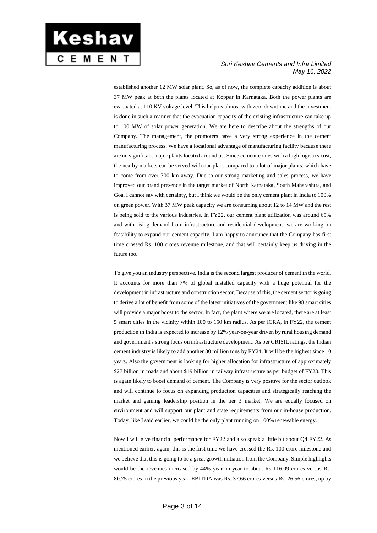

established another 12 MW solar plant. So, as of now, the complete capacity addition is about 37 MW peak at both the plants located at Koppar in Karnataka. Both the power plants are evacuated at 110 KV voltage level. This help us almost with zero downtime and the investment is done in such a manner that the evacuation capacity of the existing infrastructure can take up to 100 MW of solar power generation. We are here to describe about the strengths of our Company. The management, the promoters have a very strong experience in the cement manufacturing process. We have a locational advantage of manufacturing facility because there are no significant major plants located around us. Since cement comes with a high logistics cost, the nearby markets can be served with our plant compared to a lot of major plants, which have to come from over 300 km away. Due to our strong marketing and sales process, we have improved our brand presence in the target market of North Karnataka, South Maharashtra, and Goa. I cannot say with certainty, but I think we would be the only cement plant in India to 100% on green power. With 37 MW peak capacity we are consuming about 12 to 14 MW and the rest is being sold to the various industries. In FY22, our cement plant utilization was around 65% and with rising demand from infrastructure and residential development, we are working on feasibility to expand our cement capacity. I am happy to announce that the Company has first time crossed Rs. 100 crores revenue milestone, and that will certainly keep us driving in the future too.

To give you an industry perspective, India is the second largest producer of cement in the world. It accounts for more than 7% of global installed capacity with a huge potential for the development in infrastructure and construction sector. Because of this, the cement sector is going to derive a lot of benefit from some of the latest initiatives of the government like 98 smart cities will provide a major boost to the sector. In fact, the plant where we are located, there are at least 5 smart cities in the vicinity within 100 to 150 km radius. As per ICRA, in FY22, the cement production in India is expected to increase by 12% year-on-year driven by rural housing demand and government's strong focus on infrastructure development. As per CRISIL ratings, the Indian cement industry is likely to add another 80 million tons by FY24. It will be the highest since 10 years. Also the government is looking for higher allocation for infrastructure of approximately \$27 billion in roads and about \$19 billion in railway infrastructure as per budget of FY23. This is again likely to boost demand of cement. The Company is very positive for the sector outlook and will continue to focus on expanding production capacities and strategically reaching the market and gaining leadership position in the tier 3 market. We are equally focused on environment and will support our plant and state requirements from our in-house production. Today, like I said earlier, we could be the only plant running on 100% renewable energy.

Now I will give financial performance for FY22 and also speak a little bit about Q4 FY22. As mentioned earlier, again, this is the first time we have crossed the Rs. 100 crore milestone and we believe that this is going to be a great growth initiation from the Company. Simple highlights would be the revenues increased by 44% year-on-year to about Rs 116.09 crores versus Rs. 80.75 crores in the previous year. EBITDA was Rs. 37.66 crores versus Rs. 26.56 crores, up by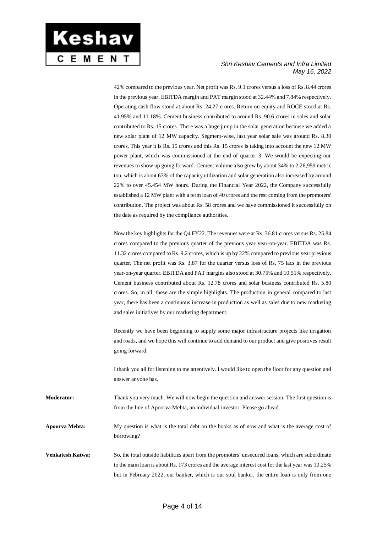

42% compared to the previous year. Net profit was Rs. 9.1 crores versus a loss of Rs. 8.44 crores in the previous year. EBITDA margin and PAT margin stood at 32.44% and 7.84% respectively. Operating cash flow stood at about Rs. 24.27 crores. Return on equity and ROCE stood at Rs. 41.95% and 11.18%. Cement business contributed to around Rs. 90.6 crores in sales and solar contributed to Rs. 15 crores. There was a huge jump in the solar generation because we added a new solar plant of 12 MW capacity. Segment-wise, last year solar sale was around Rs. 8.30 crores. This year it is Rs. 15 crores and this Rs. 15 crores is taking into account the new 12 MW power plant, which was commissioned at the end of quarter 3. We would be expecting our revenues to show up going forward. Cement volume also grew by about 34% to 2,26,959 metric ton, which is about 63% of the capacity utilization and solar generation also increased by around 22% to over 45.454 MW hours. During the Financial Year 2022, the Company successfully established a 12 MW plant with a term loan of 40 crores and the rest coming from the promoters' contribution. The project was about Rs. 58 crores and we have commissioned it successfully on the date as required by the compliance authorities.

Now the key highlights for the Q4 FY22. The revenues were at Rs. 36.81 crores versus Rs. 25.84 crores compared to the previous quarter of the previous year year-on-year. EBITDA was Rs. 11.32 crores compared to Rs. 9.2 crores, which is up by 22% compared to previous year previous quarter. The net profit was Rs. 3.87 for the quarter versus loss of Rs. 75 lacs in the previous year-on-year quarter. EBITDA and PAT margins also stood at 30.75% and 10.51% respectively. Cement business contributed about Rs. 12.78 crores and solar business contributed Rs. 5.80 crores. So, in all, these are the simple highlights. The production in general compared to last year, there has been a continuous increase in production as well as sales due to new marketing and sales initiatives by our marketing department.

Recently we have been beginning to supply some major infrastructure projects like irrigation and roads, and we hope this will continue to add demand to our product and give positives result going forward.

I thank you all for listening to me attentively. I would like to open the floor for any question and answer anyone has.

**Moderator:** Thank you very much. We will now begin the question and answer session. The first question is from the line of Apoorva Mehta, an individual investor. Please go ahead.

**Apoorva Mehta:** My question is what is the total debt on the books as of now and what is the average cost of borrowing?

**Venkatesh Katwa:** So, the total outside liabilities apart from the promoters' unsecured loans, which are subordinate to the main loan is about Rs. 173 crores and the average interest cost for the last year was 10.25% but in February 2022, our banker, which is our soul banker, the entire loan is only from one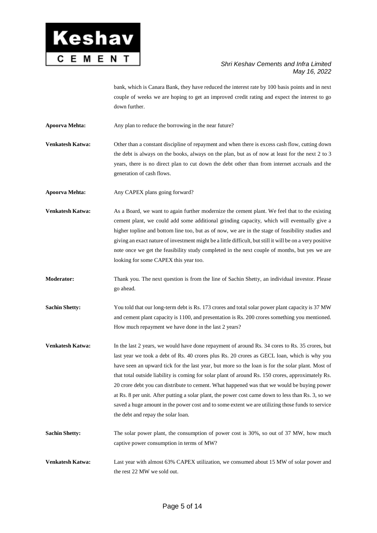

bank, which is Canara Bank, they have reduced the interest rate by 100 basis points and in next couple of weeks we are hoping to get an improved credit rating and expect the interest to go down further.

**Apoorva Mehta:** Any plan to reduce the borrowing in the near future?

**Venkatesh Katwa:** Other than a constant discipline of repayment and when there is excess cash flow, cutting down the debt is always on the books, always on the plan, but as of now at least for the next 2 to 3 years, there is no direct plan to cut down the debt other than from internet accruals and the generation of cash flows.

**Apoorva Mehta:** Any CAPEX plans going forward?

**Venkatesh Katwa:** As a Board, we want to again further modernize the cement plant. We feel that to the existing cement plant, we could add some additional grinding capacity, which will eventually give a higher topline and bottom line too, but as of now, we are in the stage of feasibility studies and giving an exact nature of investment might be a little difficult, but still it will be on a very positive note once we get the feasibility study completed in the next couple of months, but yes we are looking for some CAPEX this year too.

**Moderator:** Thank you. The next question is from the line of Sachin Shetty, an individual investor. Please go ahead.

**Sachin Shetty:** You told that our long-term debt is Rs. 173 crores and total solar power plant capacity is 37 MW and cement plant capacity is 1100, and presentation is Rs. 200 crores something you mentioned. How much repayment we have done in the last 2 years?

**Venkatesh Katwa:** In the last 2 years, we would have done repayment of around Rs. 34 cores to Rs. 35 crores, but last year we took a debt of Rs. 40 crores plus Rs. 20 crores as GECL loan, which is why you have seen an upward tick for the last year, but more so the loan is for the solar plant. Most of that total outside liability is coming for solar plant of around Rs. 150 crores, approximately Rs. 20 crore debt you can distribute to cement. What happened was that we would be buying power at Rs. 8 per unit. After putting a solar plant, the power cost came down to less than Rs. 3, so we saved a huge amount in the power cost and to some extent we are utilizing those funds to service the debt and repay the solar loan.

**Sachin Shetty:** The solar power plant, the consumption of power cost is 30%, so out of 37 MW, how much captive power consumption in terms of MW?

**Venkatesh Katwa:** Last year with almost 63% CAPEX utilization, we consumed about 15 MW of solar power and the rest 22 MW we sold out.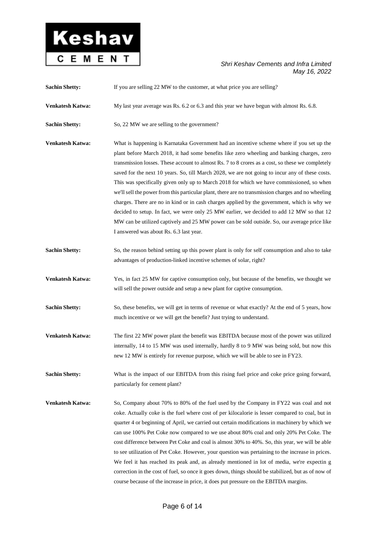

| <b>Sachin Shetty:</b>   | If you are selling 22 MW to the customer, at what price you are selling?                                                                                                                                                                                                                                                                                                                                                                                                                                                                                                                                                                                                                                                                                                                                                                                                                                                                 |
|-------------------------|------------------------------------------------------------------------------------------------------------------------------------------------------------------------------------------------------------------------------------------------------------------------------------------------------------------------------------------------------------------------------------------------------------------------------------------------------------------------------------------------------------------------------------------------------------------------------------------------------------------------------------------------------------------------------------------------------------------------------------------------------------------------------------------------------------------------------------------------------------------------------------------------------------------------------------------|
| Venkatesh Katwa:        | My last year average was Rs. 6.2 or 6.3 and this year we have begun with almost Rs. 6.8.                                                                                                                                                                                                                                                                                                                                                                                                                                                                                                                                                                                                                                                                                                                                                                                                                                                 |
| <b>Sachin Shetty:</b>   | So, 22 MW we are selling to the government?                                                                                                                                                                                                                                                                                                                                                                                                                                                                                                                                                                                                                                                                                                                                                                                                                                                                                              |
| <b>Venkatesh Katwa:</b> | What is happening is Karnataka Government had an incentive scheme where if you set up the<br>plant before March 2018, it had some benefits like zero wheeling and banking charges, zero<br>transmission losses. These account to almost Rs. 7 to 8 crores as a cost, so these we completely<br>saved for the next 10 years. So, till March 2028, we are not going to incur any of these costs.<br>This was specifically given only up to March 2018 for which we have commissioned, so when<br>we'll sell the power from this particular plant, there are no transmission charges and no wheeling<br>charges. There are no in kind or in cash charges applied by the government, which is why we<br>decided to setup. In fact, we were only 25 MW earlier, we decided to add 12 MW so that 12<br>MW can be utilized captively and 25 MW power can be sold outside. So, our average price like<br>I answered was about Rs. 6.3 last year. |
| <b>Sachin Shetty:</b>   | So, the reason behind setting up this power plant is only for self consumption and also to take<br>advantages of production-linked incentive schemes of solar, right?                                                                                                                                                                                                                                                                                                                                                                                                                                                                                                                                                                                                                                                                                                                                                                    |
| Venkatesh Katwa:        | Yes, in fact 25 MW for captive consumption only, but because of the benefits, we thought we<br>will sell the power outside and setup a new plant for captive consumption.                                                                                                                                                                                                                                                                                                                                                                                                                                                                                                                                                                                                                                                                                                                                                                |
| <b>Sachin Shetty:</b>   | So, these benefits, we will get in terms of revenue or what exactly? At the end of 5 years, how<br>much incentive or we will get the benefit? Just trying to understand.                                                                                                                                                                                                                                                                                                                                                                                                                                                                                                                                                                                                                                                                                                                                                                 |
| Venkatesh Katwa:        | The first 22 MW power plant the benefit was EBITDA because most of the power was utilized<br>internally, 14 to 15 MW was used internally, hardly 8 to 9 MW was being sold, but now this<br>new 12 MW is entirely for revenue purpose, which we will be able to see in FY23.                                                                                                                                                                                                                                                                                                                                                                                                                                                                                                                                                                                                                                                              |
| <b>Sachin Shetty:</b>   | What is the impact of our EBITDA from this rising fuel price and coke price going forward,<br>particularly for cement plant?                                                                                                                                                                                                                                                                                                                                                                                                                                                                                                                                                                                                                                                                                                                                                                                                             |
| Venkatesh Katwa:        | So, Company about 70% to 80% of the fuel used by the Company in FY22 was coal and not<br>coke. Actually coke is the fuel where cost of per kilocalorie is lesser compared to coal, but in<br>quarter 4 or beginning of April, we carried out certain modifications in machinery by which we<br>can use 100% Pet Coke now compared to we use about 80% coal and only 20% Pet Coke. The<br>cost difference between Pet Coke and coal is almost 30% to 40%. So, this year, we will be able<br>to see utilization of Pet Coke. However, your question was pertaining to the increase in prices.<br>We feel it has reached its peak and, as already mentioned in lot of media, we're expectin g<br>correction in the cost of fuel, so once it goes down, things should be stabilized, but as of now of<br>course because of the increase in price, it does put pressure on the EBITDA margins.                                                |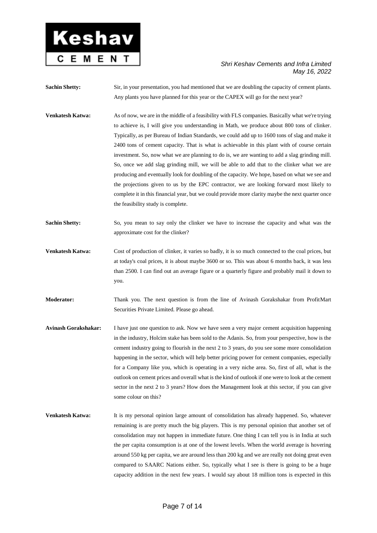

**Sachin Shetty:** Sir, in your presentation, you had mentioned that we are doubling the capacity of cement plants. Any plants you have planned for this year or the CAPEX will go for the next year?

- **Venkatesh Katwa:** As of now, we are in the middle of a feasibility with FLS companies. Basically what we're trying to achieve is, I will give you understanding in Math, we produce about 800 tons of clinker. Typically, as per Bureau of Indian Standards, we could add up to 1600 tons of slag and make it 2400 tons of cement capacity. That is what is achievable in this plant with of course certain investment. So, now what we are planning to do is, we are wanting to add a slag grinding mill. So, once we add slag grinding mill, we will be able to add that to the clinker what we are producing and eventually look for doubling of the capacity. We hope, based on what we see and the projections given to us by the EPC contractor, we are looking forward most likely to complete it in this financial year, but we could provide more clarity maybe the next quarter once the feasibility study is complete.
- **Sachin Shetty:** So, you mean to say only the clinker we have to increase the capacity and what was the approximate cost for the clinker?
- **Venkatesh Katwa:** Cost of production of clinker, it varies so badly, it is so much connected to the coal prices, but at today's coal prices, it is about maybe 3600 or so. This was about 6 months back, it was less than 2500. I can find out an average figure or a quarterly figure and probably mail it down to you.
- **Moderator:** Thank you. The next question is from the line of Avinash Gorakshakar from ProfitMart Securities Private Limited. Please go ahead.
- **Avinash Gorakshakar:** I have just one question to ask. Now we have seen a very major cement acquisition happening in the industry, Holcim stake has been sold to the Adanis. So, from your perspective, how is the cement industry going to flourish in the next 2 to 3 years, do you see some more consolidation happening in the sector, which will help better pricing power for cement companies, especially for a Company like you, which is operating in a very niche area. So, first of all, what is the outlook on cement prices and overall what is the kind of outlook if one were to look at the cement sector in the next 2 to 3 years? How does the Management look at this sector, if you can give some colour on this?
- **Venkatesh Katwa:** It is my personal opinion large amount of consolidation has already happened. So, whatever remaining is are pretty much the big players. This is my personal opinion that another set of consolidation may not happen in immediate future. One thing I can tell you is in India at such the per capita consumption is at one of the lowest levels. When the world average is hovering around 550 kg per capita, we are around less than 200 kg and we are really not doing great even compared to SAARC Nations either. So, typically what I see is there is going to be a huge capacity addition in the next few years. I would say about 18 million tons is expected in this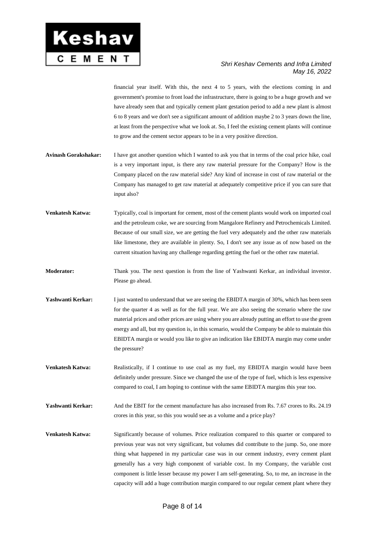

financial year itself. With this, the next 4 to 5 years, with the elections coming in and government's promise to front load the infrastructure, there is going to be a huge growth and we have already seen that and typically cement plant gestation period to add a new plant is almost 6 to 8 years and we don't see a significant amount of addition maybe 2 to 3 years down the line, at least from the perspective what we look at. So, I feel the existing cement plants will continue to grow and the cement sector appears to be in a very positive direction.

- **Avinash Gorakshakar:** I have got another question which I wanted to ask you that in terms of the coal price hike, coal is a very important input, is there any raw material pressure for the Company? How is the Company placed on the raw material side? Any kind of increase in cost of raw material or the Company has managed to get raw material at adequately competitive price if you can sure that input also?
- **Venkatesh Katwa:** Typically, coal is important for cement, most of the cement plants would work on imported coal and the petroleum coke, we are sourcing from Mangalore Refinery and Petrochemicals Limited. Because of our small size, we are getting the fuel very adequately and the other raw materials like limestone, they are available in plenty. So, I don't see any issue as of now based on the current situation having any challenge regarding getting the fuel or the other raw material.
- **Moderator:** Thank you. The next question is from the line of Yashwanti Kerkar, an individual investor. Please go ahead.
- **Yashwanti Kerkar:** I just wanted to understand that we are seeing the EBIDTA margin of 30%, which has been seen for the quarter 4 as well as for the full year. We are also seeing the scenario where the raw material prices and other prices are using where you are already putting an effort to use the green energy and all, but my question is, in this scenario, would the Company be able to maintain this EBIDTA margin or would you like to give an indication like EBIDTA margin may come under the pressure?
- **Venkatesh Katwa:** Realistically, if I continue to use coal as my fuel, my EBIDTA margin would have been definitely under pressure. Since we changed the use of the type of fuel, which is less expensive compared to coal, I am hoping to continue with the same EBIDTA margins this year too.

**Yashwanti Kerkar:** And the EBIT for the cement manufacture has also increased from Rs. 7.67 crores to Rs. 24.19 crores in this year, so this you would see as a volume and a price play?

**Venkatesh Katwa:** Significantly because of volumes. Price realization compared to this quarter or compared to previous year was not very significant, but volumes did contribute to the jump. So, one more thing what happened in my particular case was in our cement industry, every cement plant generally has a very high component of variable cost. In my Company, the variable cost component is little lesser because my power I am self-generating. So, to me, an increase in the capacity will add a huge contribution margin compared to our regular cement plant where they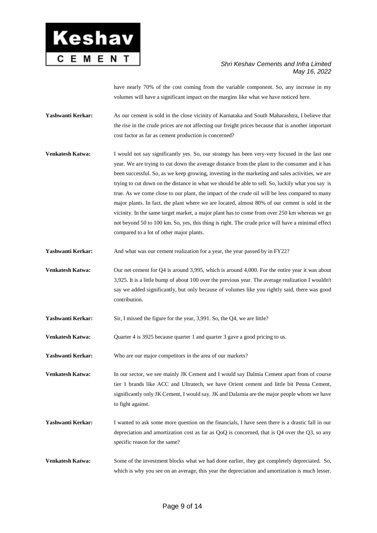

have nearly 70% of the cost coming from the variable component. So, any increase in my volumes will have a significant impact on the margins like what we have noticed here.

**Yashwanti Kerkar:** As our cement is sold in the close vicinity of Karnataka and South Maharashtra, I believe that the rise in the crude prices are not affecting our freight prices because that is another important cost factor as far as cement production is concerned?

**Venkatesh Katwa:** I would not say significantly yes. So, our strategy has been very-very focused in the last one year. We are trying to cut down the average distance from the plant to the consumer and it has been successful. So, as we keep growing, investing in the marketing and sales activities, we are trying to cut down on the distance in what we should be able to sell. So, luckily what you say is true. As we come close to our plant, the impact of the crude oil will be less compared to many major plants. In fact, the plant where we are located, almost 80% of our cement is sold in the vicinity. In the same target market, a major plant has to come from over 250 km whereas we go not beyond 50 to 100 km. So, yes, this thing is right. The crude price will have a minimal effect compared to a lot of other major plants.

**Yashwanti Kerkar:** And what was our cement realization for a year, the year passed by in FY22?

**Venkatesh Katwa:** Our net cement for Q4 is around 3,995, which is around 4,000. For the entire year it was about 3,925. It is a little bump of about 100 over the previous year. The average realization I wouldn't say we added significantly, but only because of volumes like you rightly said, there was good contribution.

**Yashwanti Kerkar:** Sir, I missed the figure for the year, 3,991. So, the Q4, we are little?

**Venkatesh Katwa:** Quarter 4 is 3925 because quarter 1 and quarter 3 gave a good pricing to us.

**Yashwanti Kerkar:** Who are our major competitors in the area of our markets?

**Venkatesh Katwa:** In our sector, we see mainly JK Cement and I would say Dalmia Cement apart from of course tier 1 brands like ACC and Ultratech, we have Orient cement and little bit Penna Cement, significantly only JK Cement, I would say. JK and Dalamia are the major people whom we have to fight against.

**Yashwanti Kerkar:** I wanted to ask some more question on the financials, I have seen there is a drastic fall in our depreciation and amortization cost as far as QoQ is concerned, that is Q4 over the Q3, so any specific reason for the same?

**Venkatesh Katwa:** Some of the investment blocks what we had done earlier, they got completely depreciated. So, which is why you see on an average, this year the depreciation and amortization is much lesser.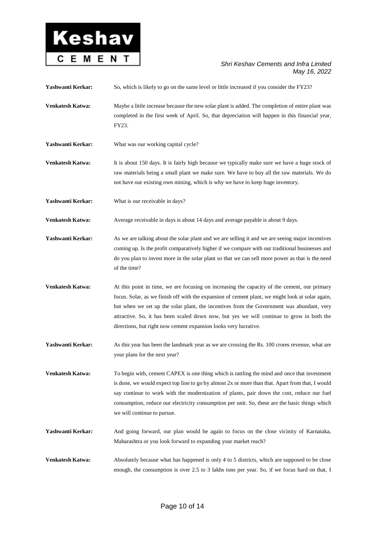

**Yashwanti Kerkar:** So, which is likely to go on the same level or little increased if you consider the FY23?

- **Venkatesh Katwa:** Maybe a little increase because the new solar plant is added. The completion of entire plant was completed in the first week of April. So, that depreciation will happen in this financial year, FY23.
- Yashwanti Kerkar: What was our working capital cycle?
- **Venkatesh Katwa:** It is about 150 days. It is fairly high because we typically make sure we have a huge stock of raw materials being a small plant we make sure. We have to buy all the raw materials. We do not have our existing own mining, which is why we have to keep huge inventory.
- Yashwanti Kerkar: What is our receivable in days?

**Venkatesh Katwa:** Average receivable in days is about 14 days and average payable is about 9 days.

- Yashwanti Kerkar: As we are talking about the solar plant and we are selling it and we are seeing major incentives coming up. Is the profit comparatively higher if we compare with our traditional businesses and do you plan to invest more in the solar plant so that we can sell more power as that is the need of the time?
- **Venkatesh Katwa:** At this point in time, we are focusing on increasing the capacity of the cement, our primary focus. Solar, as we finish off with the expansion of cement plant, we might look at solar again, but when we set up the solar plant, the incentives from the Government was abundant, very attractive. So, it has been scaled down now, but yes we will continue to grow in both the directions, but right now cement expansion looks very lucrative.
- Yashwanti Kerkar: As this year has been the landmark year as we are crossing the Rs. 100 crores revenue, what are your plans for the next year?

**Venkatesh Katwa:** To begin with, cement CAPEX is one thing which is rattling the mind and once that investment is done, we would expect top line to go by almost 2x or more than that. Apart from that, I would say continue to work with the modernization of plants, pair down the cost, reduce our fuel consumption, reduce our electricity consumption per unit. So, these are the basic things which we will continue to pursue.

- **Yashwanti Kerkar:** And going forward, our plan would be again to focus on the close vicinity of Karnataka, Maharashtra or you look forward to expanding your market reach?
- **Venkatesh Katwa:** Absolutely because what has happened is only 4 to 5 districts, which are supposed to be close enough, the consumption is over 2.5 to 3 lakhs tons per year. So, if we focus hard on that, I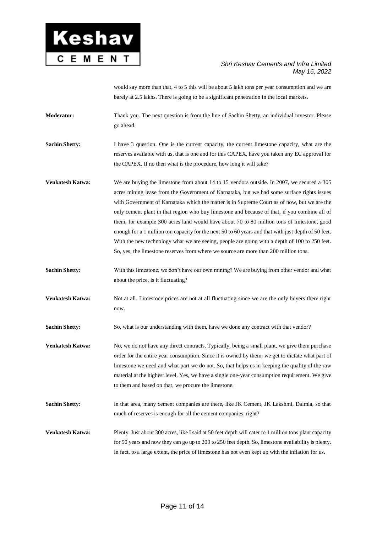

would say more than that, 4 to 5 this will be about 5 lakh tons per year consumption and we are barely at 2.5 lakhs. There is going to be a significant penetration in the local markets.

**Moderator:** Thank you. The next question is from the line of Sachin Shetty, an individual investor. Please go ahead.

**Sachin Shetty:** I have 3 question. One is the current capacity, the current limestone capacity, what are the reserves available with us, that is one and for this CAPEX, have you taken any EC approval for the CAPEX. If no then what is the procedure, how long it will take?

**Venkatesh Katwa:** We are buying the limestone from about 14 to 15 vendors outside. In 2007, we secured a 305 acres mining lease from the Government of Karnataka, but we had some surface rights issues with Government of Karnataka which the matter is in Supreme Court as of now, but we are the only cement plant in that region who buy limestone and because of that, if you combine all of them, for example 300 acres land would have about 70 to 80 million tons of limestone, good enough for a 1 million ton capacity for the next 50 to 60 years and that with just depth of 50 feet. With the new technology what we are seeing, people are going with a depth of 100 to 250 feet. So, yes, the limestone reserves from where we source are more than 200 million tons.

**Sachin Shetty:** With this limestone, we don't have our own mining? We are buying from other vendor and what about the price, is it fluctuating?

**Venkatesh Katwa:** Not at all. Limestone prices are not at all fluctuating since we are the only buyers there right now.

**Sachin Shetty:** So, what is our understanding with them, have we done any contract with that vendor?

**Venkatesh Katwa:** No, we do not have any direct contracts. Typically, being a small plant, we give them purchase order for the entire year consumption. Since it is owned by them, we get to dictate what part of limestone we need and what part we do not. So, that helps us in keeping the quality of the raw material at the highest level. Yes, we have a single one-year consumption requirement. We give to them and based on that, we procure the limestone.

**Sachin Shetty:** In that area, many cement companies are there, like JK Cement, JK Lakshmi, Dalmia, so that much of reserves is enough for all the cement companies, right?

**Venkatesh Katwa:** Plenty. Just about 300 acres, like I said at 50 feet depth will cater to 1 million tons plant capacity for 50 years and now they can go up to 200 to 250 feet depth. So, limestone availability is plenty. In fact, to a large extent, the price of limestone has not even kept up with the inflation for us.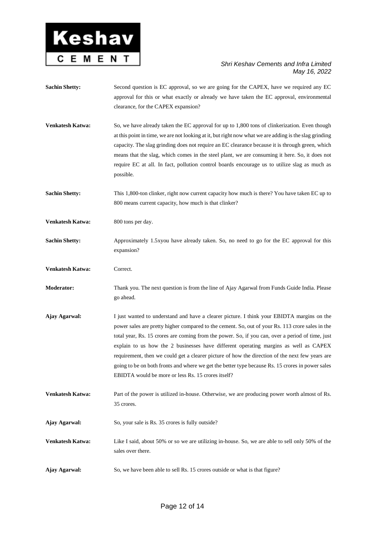

**Sachin Shetty:** Second question is EC approval, so we are going for the CAPEX, have we required any EC approval for this or what exactly or already we have taken the EC approval, environmental clearance, for the CAPEX expansion? **Venkatesh Katwa:** So, we have already taken the EC approval for up to 1,800 tons of clinkerization. Even though at this point in time, we are not looking at it, but right now what we are adding is the slag grinding capacity. The slag grinding does not require an EC clearance because it is through green, which means that the slag, which comes in the steel plant, we are consuming it here. So, it does not require EC at all. In fact, pollution control boards encourage us to utilize slag as much as possible. **Sachin Shetty:** This 1,800-ton clinker, right now current capacity how much is there? You have taken EC up to 800 means current capacity, how much is that clinker? **Venkatesh Katwa:** 800 tons per day. **Sachin Shetty:** Approximately 1.5xyou have already taken. So, no need to go for the EC approval for this expansion? **Venkatesh Katwa:** Correct. **Moderator:** Thank you. The next question is from the line of Ajay Agarwal from Funds Guide India. Please go ahead. **Ajay Agarwal:** I just wanted to understand and have a clearer picture. I think your EBIDTA margins on the power sales are pretty higher compared to the cement. So, out of your Rs. 113 crore sales in the total year, Rs. 15 crores are coming from the power. So, if you can, over a period of time, just explain to us how the 2 businesses have different operating margins as well as CAPEX requirement, then we could get a clearer picture of how the direction of the next few years are going to be on both fronts and where we get the better type because Rs. 15 crores in power sales EBIDTA would be more or less Rs. 15 crores itself? **Venkatesh Katwa:** Part of the power is utilized in-house. Otherwise, we are producing power worth almost of Rs. 35 crores. **Ajay Agarwal:** So, your sale is Rs. 35 crores is fully outside? **Venkatesh Katwa:** Like I said, about 50% or so we are utilizing in-house. So, we are able to sell only 50% of the sales over there. **Ajay Agarwal:** So, we have been able to sell Rs. 15 crores outside or what is that figure?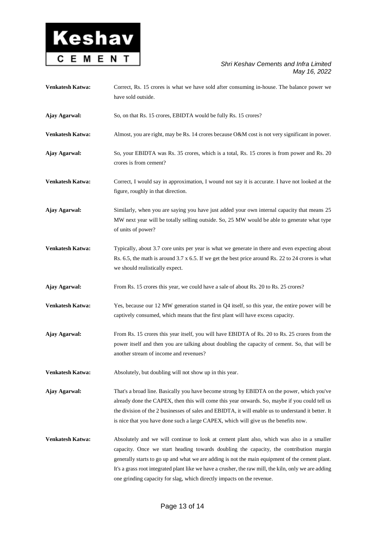

| Venkatesh Katwa: | Correct, Rs. 15 crores is what we have sold after consuming in-house. The balance power we<br>have sold outside.                                                                                                                                                                                                                                                                                                                                                          |
|------------------|---------------------------------------------------------------------------------------------------------------------------------------------------------------------------------------------------------------------------------------------------------------------------------------------------------------------------------------------------------------------------------------------------------------------------------------------------------------------------|
| Ajay Agarwal:    | So, on that Rs. 15 crores, EBIDTA would be fully Rs. 15 crores?                                                                                                                                                                                                                                                                                                                                                                                                           |
| Venkatesh Katwa: | Almost, you are right, may be Rs. 14 crores because O&M cost is not very significant in power.                                                                                                                                                                                                                                                                                                                                                                            |
| Ajay Agarwal:    | So, your EBIDTA was Rs. 35 crores, which is a total, Rs. 15 crores is from power and Rs. 20<br>crores is from cement?                                                                                                                                                                                                                                                                                                                                                     |
| Venkatesh Katwa: | Correct, I would say in approximation, I wound not say it is accurate. I have not looked at the<br>figure, roughly in that direction.                                                                                                                                                                                                                                                                                                                                     |
| Ajay Agarwal:    | Similarly, when you are saying you have just added your own internal capacity that means 25<br>MW next year will be totally selling outside. So, 25 MW would be able to generate what type<br>of units of power?                                                                                                                                                                                                                                                          |
| Venkatesh Katwa: | Typically, about 3.7 core units per year is what we generate in there and even expecting about<br>Rs. 6.5, the math is around 3.7 x 6.5. If we get the best price around Rs. 22 to 24 crores is what<br>we should realistically expect.                                                                                                                                                                                                                                   |
| Ajay Agarwal:    | From Rs. 15 crores this year, we could have a sale of about Rs. 20 to Rs. 25 crores?                                                                                                                                                                                                                                                                                                                                                                                      |
| Venkatesh Katwa: | Yes, because our 12 MW generation started in Q4 itself, so this year, the entire power will be<br>captively consumed, which means that the first plant will have excess capacity.                                                                                                                                                                                                                                                                                         |
| Ajay Agarwal:    | From Rs. 15 crores this year itself, you will have EBIDTA of Rs. 20 to Rs. 25 crores from the<br>power itself and then you are talking about doubling the capacity of cement. So, that will be<br>another stream of income and revenues?                                                                                                                                                                                                                                  |
| Venkatesh Katwa: | Absolutely, but doubling will not show up in this year.                                                                                                                                                                                                                                                                                                                                                                                                                   |
| Ajay Agarwal:    | That's a broad line. Basically you have become strong by EBIDTA on the power, which you've<br>already done the CAPEX, then this will come this year onwards. So, maybe if you could tell us<br>the division of the 2 businesses of sales and EBIDTA, it will enable us to understand it better. It<br>is nice that you have done such a large CAPEX, which will give us the benefits now.                                                                                 |
| Venkatesh Katwa: | Absolutely and we will continue to look at cement plant also, which was also in a smaller<br>capacity. Once we start heading towards doubling the capacity, the contribution margin<br>generally starts to go up and what we are adding is not the main equipment of the cement plant.<br>It's a grass root integrated plant like we have a crusher, the raw mill, the kiln, only we are adding<br>one grinding capacity for slag, which directly impacts on the revenue. |